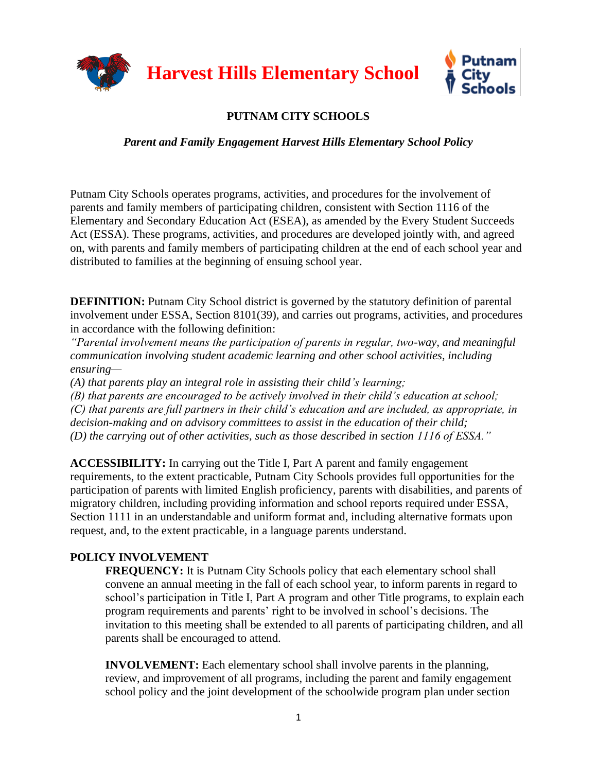

## **PUTNAM CITY SCHOOLS**

## *Parent and Family Engagement Harvest Hills Elementary School Policy*

Putnam City Schools operates programs, activities, and procedures for the involvement of parents and family members of participating children, consistent with Section 1116 of the Elementary and Secondary Education Act (ESEA), as amended by the Every Student Succeeds Act (ESSA). These programs, activities, and procedures are developed jointly with, and agreed on, with parents and family members of participating children at the end of each school year and distributed to families at the beginning of ensuing school year.

**DEFINITION:** Putnam City School district is governed by the statutory definition of parental involvement under ESSA, Section 8101(39), and carries out programs, activities, and procedures in accordance with the following definition:

*"Parental involvement means the participation of parents in regular, two-way, and meaningful communication involving student academic learning and other school activities, including ensuring—*

*(A) that parents play an integral role in assisting their child's learning;* 

*(B) that parents are encouraged to be actively involved in their child's education at school; (C) that parents are full partners in their child's education and are included, as appropriate, in decision-making and on advisory committees to assist in the education of their child; (D) the carrying out of other activities, such as those described in section 1116 of ESSA."*

**ACCESSIBILITY:** In carrying out the Title I, Part A parent and family engagement requirements, to the extent practicable, Putnam City Schools provides full opportunities for the participation of parents with limited English proficiency, parents with disabilities, and parents of migratory children, including providing information and school reports required under ESSA, Section 1111 in an understandable and uniform format and, including alternative formats upon request, and, to the extent practicable, in a language parents understand.

## **POLICY INVOLVEMENT**

**FREQUENCY:** It is Putnam City Schools policy that each elementary school shall convene an annual meeting in the fall of each school year, to inform parents in regard to school's participation in Title I, Part A program and other Title programs, to explain each program requirements and parents' right to be involved in school's decisions. The invitation to this meeting shall be extended to all parents of participating children, and all parents shall be encouraged to attend.

**INVOLVEMENT:** Each elementary school shall involve parents in the planning, review, and improvement of all programs, including the parent and family engagement school policy and the joint development of the schoolwide program plan under section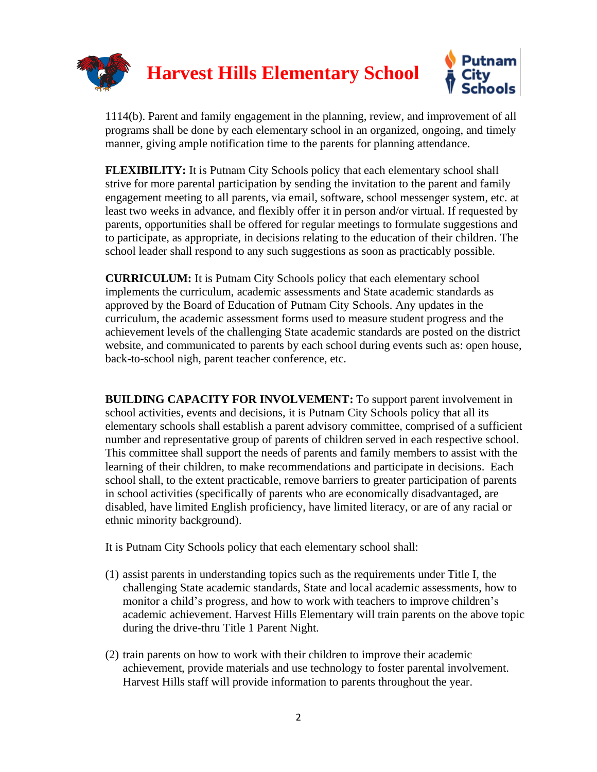

1114(b). Parent and family engagement in the planning, review, and improvement of all programs shall be done by each elementary school in an organized, ongoing, and timely manner, giving ample notification time to the parents for planning attendance.

**FLEXIBILITY:** It is Putnam City Schools policy that each elementary school shall strive for more parental participation by sending the invitation to the parent and family engagement meeting to all parents, via email, software, school messenger system, etc. at least two weeks in advance, and flexibly offer it in person and/or virtual. If requested by parents, opportunities shall be offered for regular meetings to formulate suggestions and to participate, as appropriate, in decisions relating to the education of their children. The school leader shall respond to any such suggestions as soon as practicably possible.

**CURRICULUM:** It is Putnam City Schools policy that each elementary school implements the curriculum, academic assessments and State academic standards as approved by the Board of Education of Putnam City Schools. Any updates in the curriculum, the academic assessment forms used to measure student progress and the achievement levels of the challenging State academic standards are posted on the district website, and communicated to parents by each school during events such as: open house, back-to-school nigh, parent teacher conference, etc.

**BUILDING CAPACITY FOR INVOLVEMENT:** To support parent involvement in school activities, events and decisions, it is Putnam City Schools policy that all its elementary schools shall establish a parent advisory committee, comprised of a sufficient number and representative group of parents of children served in each respective school. This committee shall support the needs of parents and family members to assist with the learning of their children, to make recommendations and participate in decisions. Each school shall, to the extent practicable, remove barriers to greater participation of parents in school activities (specifically of parents who are economically disadvantaged, are disabled, have limited English proficiency, have limited literacy, or are of any racial or ethnic minority background).

It is Putnam City Schools policy that each elementary school shall:

- (1) assist parents in understanding topics such as the requirements under Title I, the challenging State academic standards, State and local academic assessments, how to monitor a child's progress, and how to work with teachers to improve children's academic achievement. Harvest Hills Elementary will train parents on the above topic during the drive-thru Title 1 Parent Night.
- (2) train parents on how to work with their children to improve their academic achievement, provide materials and use technology to foster parental involvement. Harvest Hills staff will provide information to parents throughout the year.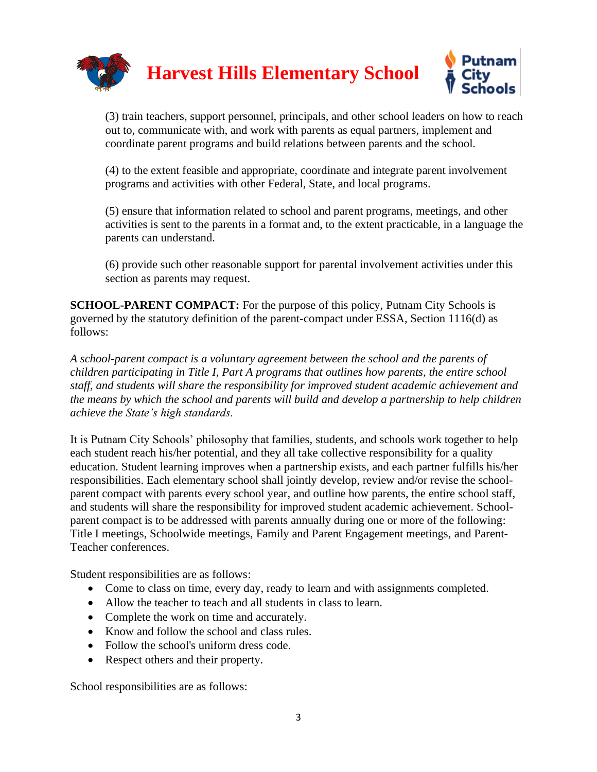

(3) train teachers, support personnel, principals, and other school leaders on how to reach out to, communicate with, and work with parents as equal partners, implement and coordinate parent programs and build relations between parents and the school.

(4) to the extent feasible and appropriate, coordinate and integrate parent involvement programs and activities with other Federal, State, and local programs.

(5) ensure that information related to school and parent programs, meetings, and other activities is sent to the parents in a format and, to the extent practicable, in a language the parents can understand.

(6) provide such other reasonable support for parental involvement activities under this section as parents may request.

**SCHOOL-PARENT COMPACT:** For the purpose of this policy, Putnam City Schools is governed by the statutory definition of the parent-compact under ESSA, Section 1116(d) as follows:

*A school-parent compact is a voluntary agreement between the school and the parents of children participating in Title I, Part A programs that outlines how parents, the entire school staff, and students will share the responsibility for improved student academic achievement and the means by which the school and parents will build and develop a partnership to help children achieve the State's high standards.*

It is Putnam City Schools' philosophy that families, students, and schools work together to help each student reach his/her potential, and they all take collective responsibility for a quality education. Student learning improves when a partnership exists, and each partner fulfills his/her responsibilities. Each elementary school shall jointly develop, review and/or revise the schoolparent compact with parents every school year, and outline how parents, the entire school staff, and students will share the responsibility for improved student academic achievement. Schoolparent compact is to be addressed with parents annually during one or more of the following: Title I meetings, Schoolwide meetings, Family and Parent Engagement meetings, and Parent-Teacher conferences.

Student responsibilities are as follows:

- Come to class on time, every day, ready to learn and with assignments completed.
- Allow the teacher to teach and all students in class to learn.
- Complete the work on time and accurately.
- Know and follow the school and class rules.
- Follow the school's uniform dress code.
- Respect others and their property.

School responsibilities are as follows: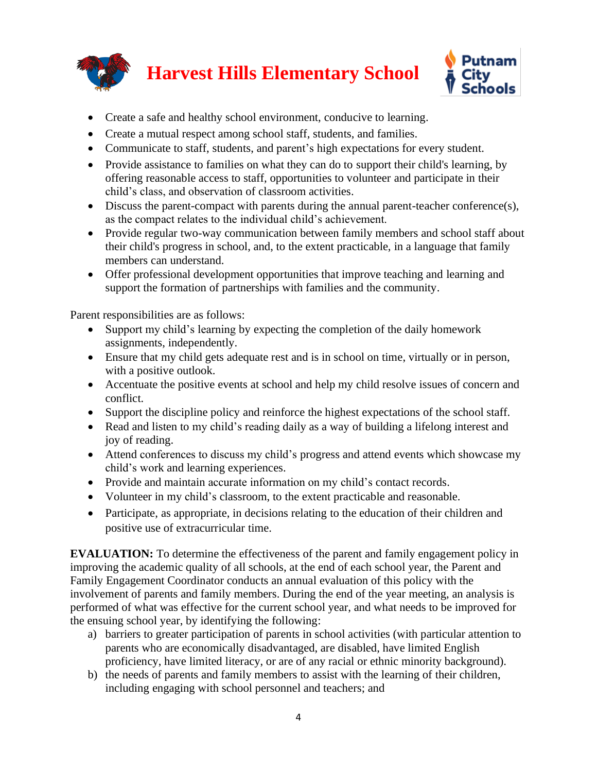

- Create a safe and healthy school environment, conducive to learning.
- Create a mutual respect among school staff, students, and families.
- Communicate to staff, students, and parent's high expectations for every student.
- Provide assistance to families on what they can do to support their child's learning, by offering reasonable access to staff, opportunities to volunteer and participate in their child's class, and observation of classroom activities.
- Discuss the parent-compact with parents during the annual parent-teacher conference(s), as the compact relates to the individual child's achievement.
- Provide regular two-way communication between family members and school staff about their child's progress in school, and, to the extent practicable, in a language that family members can understand.
- Offer professional development opportunities that improve teaching and learning and support the formation of partnerships with families and the community.

Parent responsibilities are as follows:

- Support my child's learning by expecting the completion of the daily homework assignments, independently.
- Ensure that my child gets adequate rest and is in school on time, virtually or in person, with a positive outlook.
- Accentuate the positive events at school and help my child resolve issues of concern and conflict.
- Support the discipline policy and reinforce the highest expectations of the school staff.
- Read and listen to my child's reading daily as a way of building a lifelong interest and joy of reading.
- Attend conferences to discuss my child's progress and attend events which showcase my child's work and learning experiences.
- Provide and maintain accurate information on my child's contact records.
- Volunteer in my child's classroom, to the extent practicable and reasonable.
- Participate, as appropriate, in decisions relating to the education of their children and positive use of extracurricular time.

**EVALUATION:** To determine the effectiveness of the parent and family engagement policy in improving the academic quality of all schools, at the end of each school year, the Parent and Family Engagement Coordinator conducts an annual evaluation of this policy with the involvement of parents and family members. During the end of the year meeting, an analysis is performed of what was effective for the current school year, and what needs to be improved for the ensuing school year, by identifying the following:

- a) barriers to greater participation of parents in school activities (with particular attention to parents who are economically disadvantaged, are disabled, have limited English proficiency, have limited literacy, or are of any racial or ethnic minority background).
- b) the needs of parents and family members to assist with the learning of their children, including engaging with school personnel and teachers; and